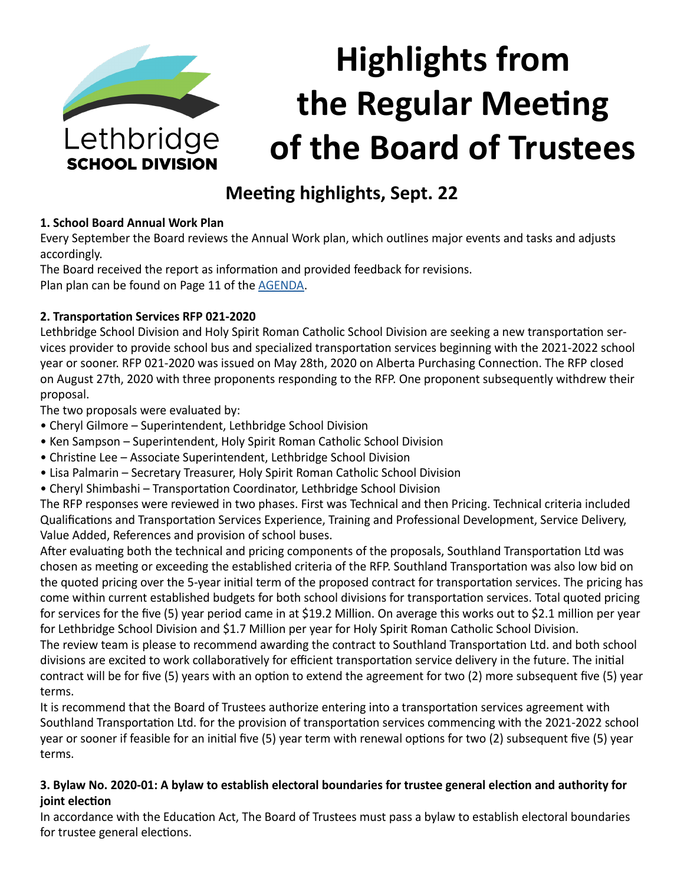

# **Highlights from the Regular Meeting of the Board of Trustees**

# **Meeting highlights, Sept. 22**

#### **1. School Board Annual Work Plan**

Every September the Board reviews the Annual Work plan, which outlines major events and tasks and adjusts accordingly.

The Board received the report as information and provided feedback for revisions. Plan plan can be found on Page 11 of the [AGENDA](https://www.lethsd.ab.ca/download/301447).

#### **2. Transportation Services RFP 021-2020**

Lethbridge School Division and Holy Spirit Roman Catholic School Division are seeking a new transportation services provider to provide school bus and specialized transportation services beginning with the 2021-2022 school year or sooner. RFP 021-2020 was issued on May 28th, 2020 on Alberta Purchasing Connection. The RFP closed on August 27th, 2020 with three proponents responding to the RFP. One proponent subsequently withdrew their proposal.

The two proposals were evaluated by:

- Cheryl Gilmore Superintendent, Lethbridge School Division
- Ken Sampson Superintendent, Holy Spirit Roman Catholic School Division
- Christine Lee Associate Superintendent, Lethbridge School Division
- Lisa Palmarin Secretary Treasurer, Holy Spirit Roman Catholic School Division
- Cheryl Shimbashi Transportation Coordinator, Lethbridge School Division

The RFP responses were reviewed in two phases. First was Technical and then Pricing. Technical criteria included Qualifications and Transportation Services Experience, Training and Professional Development, Service Delivery, Value Added, References and provision of school buses.

After evaluating both the technical and pricing components of the proposals, Southland Transportation Ltd was chosen as meeting or exceeding the established criteria of the RFP. Southland Transportation was also low bid on the quoted pricing over the 5-year initial term of the proposed contract for transportation services. The pricing has come within current established budgets for both school divisions for transportation services. Total quoted pricing for services for the five (5) year period came in at \$19.2 Million. On average this works out to \$2.1 million per year for Lethbridge School Division and \$1.7 Million per year for Holy Spirit Roman Catholic School Division. The review team is please to recommend awarding the contract to Southland Transportation Ltd. and both school divisions are excited to work collaboratively for efficient transportation service delivery in the future. The initial contract will be for five (5) years with an option to extend the agreement for two (2) more subsequent five (5) year terms.

It is recommend that the Board of Trustees authorize entering into a transportation services agreement with Southland Transportation Ltd. for the provision of transportation services commencing with the 2021-2022 school year or sooner if feasible for an initial five (5) year term with renewal options for two (2) subsequent five (5) year terms.

#### **3. Bylaw No. 2020-01: A bylaw to establish electoral boundaries for trustee general election and authority for joint election**

In accordance with the Education Act, The Board of Trustees must pass a bylaw to establish electoral boundaries for trustee general elections.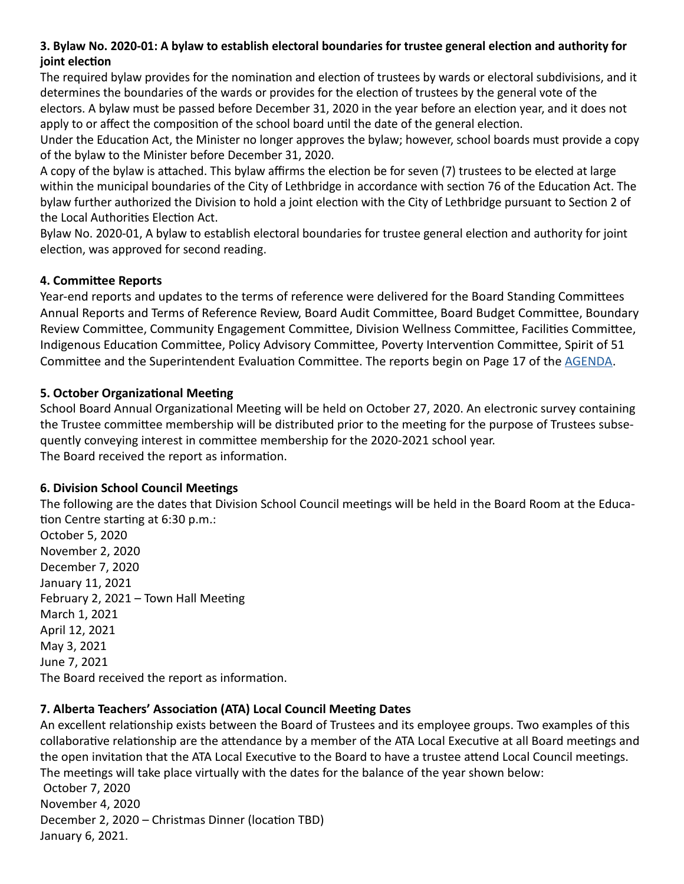#### **3. Bylaw No. 2020-01: A bylaw to establish electoral boundaries for trustee general election and authority for joint election**

The required bylaw provides for the nomination and election of trustees by wards or electoral subdivisions, and it determines the boundaries of the wards or provides for the election of trustees by the general vote of the electors. A bylaw must be passed before December 31, 2020 in the year before an election year, and it does not apply to or affect the composition of the school board until the date of the general election.

Under the Education Act, the Minister no longer approves the bylaw; however, school boards must provide a copy of the bylaw to the Minister before December 31, 2020.

A copy of the bylaw is attached. This bylaw affirms the election be for seven (7) trustees to be elected at large within the municipal boundaries of the City of Lethbridge in accordance with section 76 of the Education Act. The bylaw further authorized the Division to hold a joint election with the City of Lethbridge pursuant to Section 2 of the Local Authorities Election Act.

Bylaw No. 2020-01, A bylaw to establish electoral boundaries for trustee general election and authority for joint election, was approved for second reading.

#### **4. Committee Reports**

Year-end reports and updates to the terms of reference were delivered for the Board Standing Committees Annual Reports and Terms of Reference Review, Board Audit Committee, Board Budget Committee, Boundary Review Committee, Community Engagement Committee, Division Wellness Committee, Facilities Committee, Indigenous Education Committee, Policy Advisory Committee, Poverty Intervention Committee, Spirit of 51 Committee and the Superintendent Evaluation Committee. The reports begin on Page 17 of the [AGENDA.](https://www.lethsd.ab.ca/download/301447)

#### **5. October Organizational Meeting**

School Board Annual Organizational Meeting will be held on October 27, 2020. An electronic survey containing the Trustee committee membership will be distributed prior to the meeting for the purpose of Trustees subsequently conveying interest in committee membership for the 2020-2021 school year. The Board received the report as information.

#### **6. Division School Council Meetings**

The following are the dates that Division School Council meetings will be held in the Board Room at the Education Centre starting at 6:30 p.m.:

October 5, 2020 November 2, 2020 December 7, 2020 January 11, 2021 February 2, 2021 – Town Hall Meeting March 1, 2021 April 12, 2021 May 3, 2021 June 7, 2021 The Board received the report as information.

## **7. Alberta Teachers' Association (ATA) Local Council Meeting Dates**

An excellent relationship exists between the Board of Trustees and its employee groups. Two examples of this collaborative relationship are the attendance by a member of the ATA Local Executive at all Board meetings and the open invitation that the ATA Local Executive to the Board to have a trustee attend Local Council meetings. The meetings will take place virtually with the dates for the balance of the year shown below: October 7, 2020 November 4, 2020 December 2, 2020 – Christmas Dinner (location TBD) January 6, 2021.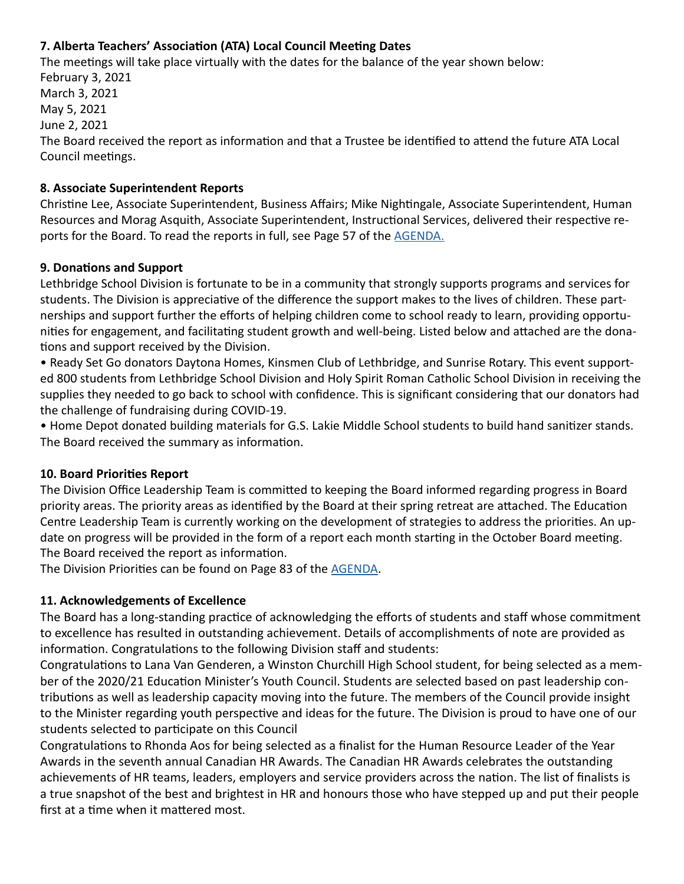#### **7. Alberta Teachers' Association (ATA) Local Council Meeting Dates**

The meetings will take place virtually with the dates for the balance of the year shown below: February 3, 2021 March 3, 2021 May 5, 2021 June 2, 2021 The Board received the report as information and that a Trustee be identified to attend the future ATA Local Council meetings.

#### **8. Associate Superintendent Reports**

Christine Lee, Associate Superintendent, Business Affairs; Mike Nightingale, Associate Superintendent, Human Resources and Morag Asquith, Associate Superintendent, Instructional Services, delivered their respective reports for the Board. To read the reports in full, see Page 57 of the [AGENDA.](https://www.lethsd.ab.ca/download/301447)

#### **9. Donations and Support**

Lethbridge School Division is fortunate to be in a community that strongly supports programs and services for students. The Division is appreciative of the difference the support makes to the lives of children. These partnerships and support further the efforts of helping children come to school ready to learn, providing opportunities for engagement, and facilitating student growth and well-being. Listed below and attached are the donations and support received by the Division.

• Ready Set Go donators Daytona Homes, Kinsmen Club of Lethbridge, and Sunrise Rotary. This event supported 800 students from Lethbridge School Division and Holy Spirit Roman Catholic School Division in receiving the supplies they needed to go back to school with confidence. This is significant considering that our donators had the challenge of fundraising during COVID-19.

• Home Depot donated building materials for G.S. Lakie Middle School students to build hand sanitizer stands. The Board received the summary as information.

#### **10. Board Priorities Report**

The Division Office Leadership Team is committed to keeping the Board informed regarding progress in Board priority areas. The priority areas as identified by the Board at their spring retreat are attached. The Education Centre Leadership Team is currently working on the development of strategies to address the priorities. An update on progress will be provided in the form of a report each month starting in the October Board meeting. The Board received the report as information.

The Division Priorities can be found on Page 83 of the [AGENDA.](https://www.lethsd.ab.ca/download/301447)

#### **11. Acknowledgements of Excellence**

The Board has a long-standing practice of acknowledging the efforts of students and staff whose commitment to excellence has resulted in outstanding achievement. Details of accomplishments of note are provided as information. Congratulations to the following Division staff and students:

Congratulations to Lana Van Genderen, a Winston Churchill High School student, for being selected as a member of the 2020/21 Education Minister's Youth Council. Students are selected based on past leadership contributions as well as leadership capacity moving into the future. The members of the Council provide insight to the Minister regarding youth perspective and ideas for the future. The Division is proud to have one of our students selected to participate on this Council

Congratulations to Rhonda Aos for being selected as a finalist for the Human Resource Leader of the Year Awards in the seventh annual Canadian HR Awards. The Canadian HR Awards celebrates the outstanding achievements of HR teams, leaders, employers and service providers across the nation. The list of finalists is a true snapshot of the best and brightest in HR and honours those who have stepped up and put their people first at a time when it mattered most.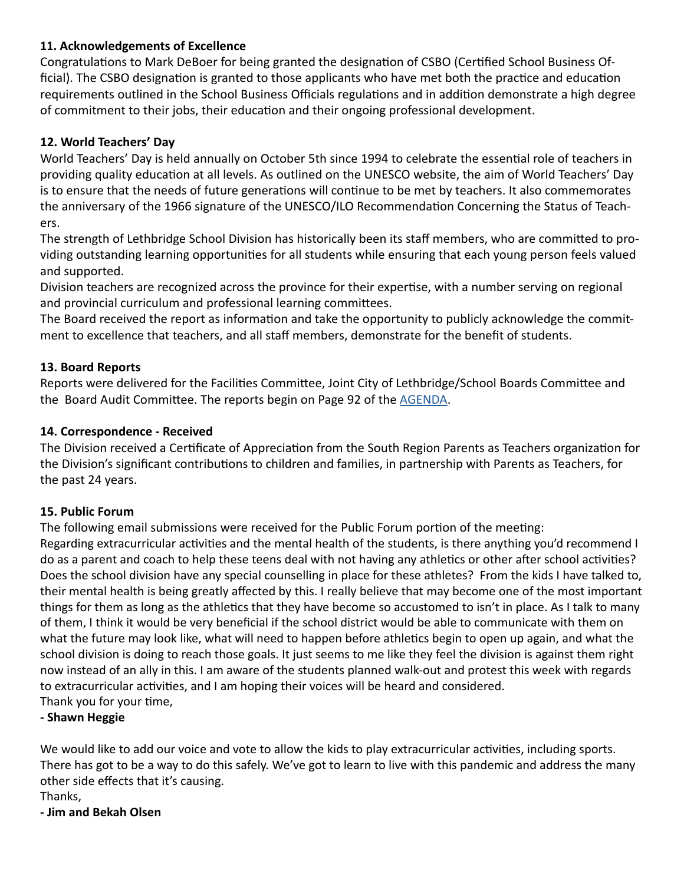#### **11. Acknowledgements of Excellence**

Congratulations to Mark DeBoer for being granted the designation of CSBO (Certified School Business Official). The CSBO designation is granted to those applicants who have met both the practice and education requirements outlined in the School Business Officials regulations and in addition demonstrate a high degree of commitment to their jobs, their education and their ongoing professional development.

#### **12. World Teachers' Day**

World Teachers' Day is held annually on October 5th since 1994 to celebrate the essential role of teachers in providing quality education at all levels. As outlined on the UNESCO website, the aim of World Teachers' Day is to ensure that the needs of future generations will continue to be met by teachers. It also commemorates the anniversary of the 1966 signature of the UNESCO/ILO Recommendation Concerning the Status of Teachers.

The strength of Lethbridge School Division has historically been its staff members, who are committed to providing outstanding learning opportunities for all students while ensuring that each young person feels valued and supported.

Division teachers are recognized across the province for their expertise, with a number serving on regional and provincial curriculum and professional learning committees.

The Board received the report as information and take the opportunity to publicly acknowledge the commitment to excellence that teachers, and all staff members, demonstrate for the benefit of students.

#### **13. Board Reports**

Reports were delivered for the Facilities Committee, Joint City of Lethbridge/School Boards Committee and the Board Audit Committee. The reports begin on Page 92 of the [AGENDA.](https://www.lethsd.ab.ca/download/301447)

#### **14. Correspondence - Received**

The Division received a Certificate of Appreciation from the South Region Parents as Teachers organization for the Division's significant contributions to children and families, in partnership with Parents as Teachers, for the past 24 years.

#### **15. Public Forum**

The following email submissions were received for the Public Forum portion of the meeting: Regarding extracurricular activities and the mental health of the students, is there anything you'd recommend I do as a parent and coach to help these teens deal with not having any athletics or other after school activities? Does the school division have any special counselling in place for these athletes? From the kids I have talked to, their mental health is being greatly affected by this. I really believe that may become one of the most important things for them as long as the athletics that they have become so accustomed to isn't in place. As I talk to many of them, I think it would be very beneficial if the school district would be able to communicate with them on what the future may look like, what will need to happen before athletics begin to open up again, and what the

school division is doing to reach those goals. It just seems to me like they feel the division is against them right now instead of an ally in this. I am aware of the students planned walk-out and protest this week with regards to extracurricular activities, and I am hoping their voices will be heard and considered.

Thank you for your time,

#### **- Shawn Heggie**

We would like to add our voice and vote to allow the kids to play extracurricular activities, including sports. There has got to be a way to do this safely. We've got to learn to live with this pandemic and address the many other side effects that it's causing.

Thanks,

**- Jim and Bekah Olsen**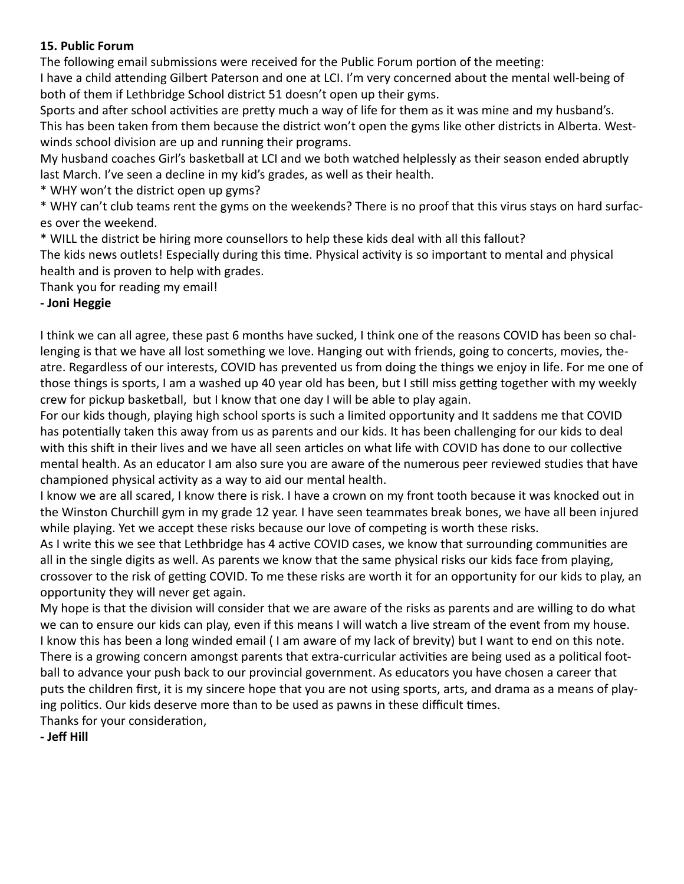#### **15. Public Forum**

The following email submissions were received for the Public Forum portion of the meeting:

I have a child attending Gilbert Paterson and one at LCI. I'm very concerned about the mental well-being of both of them if Lethbridge School district 51 doesn't open up their gyms.

Sports and after school activities are pretty much a way of life for them as it was mine and my husband's. This has been taken from them because the district won't open the gyms like other districts in Alberta. Westwinds school division are up and running their programs.

My husband coaches Girl's basketball at LCI and we both watched helplessly as their season ended abruptly last March. I've seen a decline in my kid's grades, as well as their health.

\* WHY won't the district open up gyms?

\* WHY can't club teams rent the gyms on the weekends? There is no proof that this virus stays on hard surfaces over the weekend.

\* WILL the district be hiring more counsellors to help these kids deal with all this fallout?

The kids news outlets! Especially during this time. Physical activity is so important to mental and physical health and is proven to help with grades.

Thank you for reading my email!

## **- Joni Heggie**

I think we can all agree, these past 6 months have sucked, I think one of the reasons COVID has been so challenging is that we have all lost something we love. Hanging out with friends, going to concerts, movies, theatre. Regardless of our interests, COVID has prevented us from doing the things we enjoy in life. For me one of those things is sports, I am a washed up 40 year old has been, but I still miss getting together with my weekly crew for pickup basketball, but I know that one day I will be able to play again.

For our kids though, playing high school sports is such a limited opportunity and It saddens me that COVID has potentially taken this away from us as parents and our kids. It has been challenging for our kids to deal with this shift in their lives and we have all seen articles on what life with COVID has done to our collective mental health. As an educator I am also sure you are aware of the numerous peer reviewed studies that have championed physical activity as a way to aid our mental health.

I know we are all scared, I know there is risk. I have a crown on my front tooth because it was knocked out in the Winston Churchill gym in my grade 12 year. I have seen teammates break bones, we have all been injured while playing. Yet we accept these risks because our love of competing is worth these risks.

As I write this we see that Lethbridge has 4 active COVID cases, we know that surrounding communities are all in the single digits as well. As parents we know that the same physical risks our kids face from playing, crossover to the risk of getting COVID. To me these risks are worth it for an opportunity for our kids to play, an opportunity they will never get again.

My hope is that the division will consider that we are aware of the risks as parents and are willing to do what we can to ensure our kids can play, even if this means I will watch a live stream of the event from my house. I know this has been a long winded email ( I am aware of my lack of brevity) but I want to end on this note. There is a growing concern amongst parents that extra-curricular activities are being used as a political football to advance your push back to our provincial government. As educators you have chosen a career that puts the children first, it is my sincere hope that you are not using sports, arts, and drama as a means of playing politics. Our kids deserve more than to be used as pawns in these difficult times. Thanks for your consideration,

**- Jeff Hill**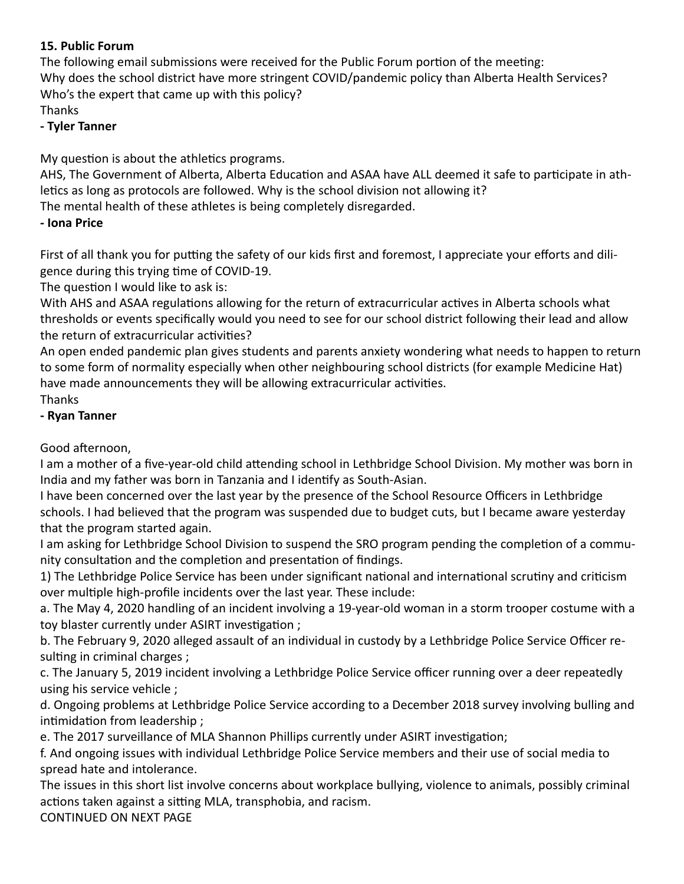#### **15. Public Forum**

The following email submissions were received for the Public Forum portion of the meeting: Why does the school district have more stringent COVID/pandemic policy than Alberta Health Services? Who's the expert that came up with this policy? Thanks

#### **- Tyler Tanner**

My question is about the athletics programs.

AHS, The Government of Alberta, Alberta Education and ASAA have ALL deemed it safe to participate in athletics as long as protocols are followed. Why is the school division not allowing it?

The mental health of these athletes is being completely disregarded.

## **- Iona Price**

First of all thank you for putting the safety of our kids first and foremost, I appreciate your efforts and diligence during this trying time of COVID-19.

The question I would like to ask is:

With AHS and ASAA regulations allowing for the return of extracurricular actives in Alberta schools what thresholds or events specifically would you need to see for our school district following their lead and allow the return of extracurricular activities?

An open ended pandemic plan gives students and parents anxiety wondering what needs to happen to return to some form of normality especially when other neighbouring school districts (for example Medicine Hat) have made announcements they will be allowing extracurricular activities.

Thanks

## **- Ryan Tanner**

Good afternoon,

I am a mother of a five-year-old child attending school in Lethbridge School Division. My mother was born in India and my father was born in Tanzania and I identify as South-Asian.

I have been concerned over the last year by the presence of the School Resource Officers in Lethbridge schools. I had believed that the program was suspended due to budget cuts, but I became aware yesterday that the program started again.

I am asking for Lethbridge School Division to suspend the SRO program pending the completion of a community consultation and the completion and presentation of findings.

1) The Lethbridge Police Service has been under significant national and international scrutiny and criticism over multiple high-profile incidents over the last year. These include:

a. The May 4, 2020 handling of an incident involving a 19-year-old woman in a storm trooper costume with a toy blaster currently under ASIRT investigation ;

b. The February 9, 2020 alleged assault of an individual in custody by a Lethbridge Police Service Officer resulting in criminal charges ;

c. The January 5, 2019 incident involving a Lethbridge Police Service officer running over a deer repeatedly using his service vehicle ;

d. Ongoing problems at Lethbridge Police Service according to a December 2018 survey involving bulling and intimidation from leadership ;

e. The 2017 surveillance of MLA Shannon Phillips currently under ASIRT investigation;

f. And ongoing issues with individual Lethbridge Police Service members and their use of social media to spread hate and intolerance.

The issues in this short list involve concerns about workplace bullying, violence to animals, possibly criminal actions taken against a sitting MLA, transphobia, and racism.

CONTINUED ON NEXT PAGE